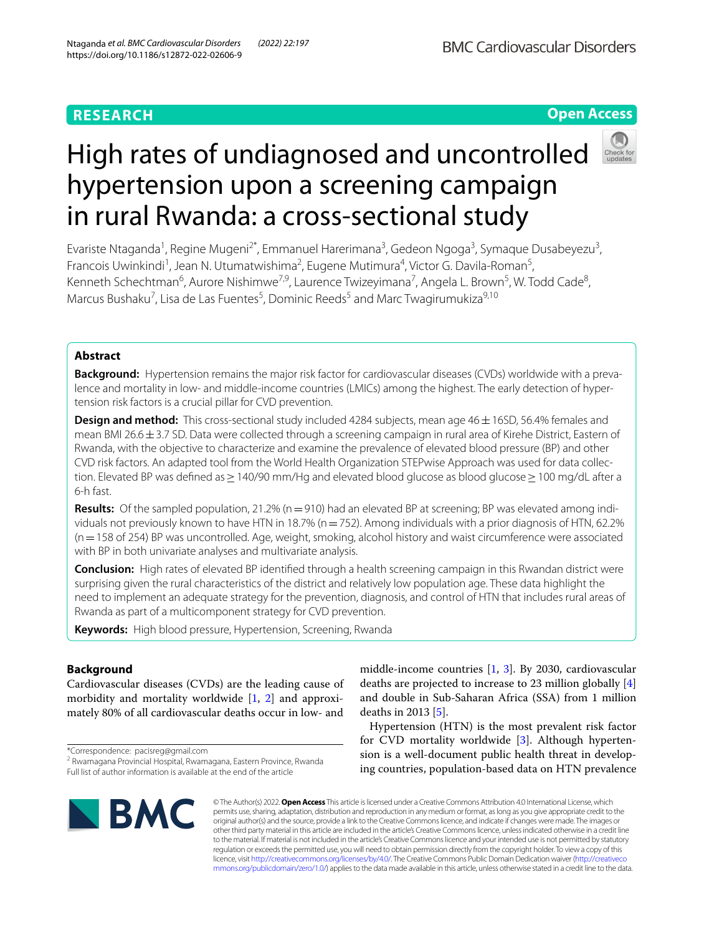# **RESEARCH**

# **Open Access**



# High rates of undiagnosed and uncontrolled hypertension upon a screening campaign in rural Rwanda: a cross-sectional study

Evariste Ntaganda<sup>1</sup>, Regine Mugeni<sup>2\*</sup>, Emmanuel Harerimana<sup>3</sup>, Gedeon Ngoga<sup>3</sup>, Symaque Dusabeyezu<sup>3</sup>, Francois Uwinkindi<sup>1</sup>, Jean N. Utumatwishima<sup>2</sup>, Eugene Mutimura<sup>4</sup>, Victor G. Davila-Roman<sup>5</sup>, Kenneth Schechtman<sup>6</sup>, Aurore Nishimwe<sup>7,9</sup>, Laurence Twizeyimana<sup>7</sup>, Angela L. Brown<sup>5</sup>, W. Todd Cade<sup>8</sup>, Marcus Bushaku<sup>7</sup>, Lisa de Las Fuentes<sup>5</sup>, Dominic Reeds<sup>5</sup> and Marc Twagirumukiza<sup>9,10</sup>

# **Abstract**

Background: Hypertension remains the major risk factor for cardiovascular diseases (CVDs) worldwide with a prevalence and mortality in low- and middle-income countries (LMICs) among the highest. The early detection of hypertension risk factors is a crucial pillar for CVD prevention.

**Design and method:** This cross-sectional study included 4284 subjects, mean age 46 ± 16SD, 56.4% females and mean BMI 26.6 $\pm$ 3.7 SD. Data were collected through a screening campaign in rural area of Kirehe District, Eastern of Rwanda, with the objective to characterize and examine the prevalence of elevated blood pressure (BP) and other CVD risk factors. An adapted tool from the World Health Organization STEPwise Approach was used for data collec‑ tion. Elevated BP was defined as ≥ 140/90 mm/Hg and elevated blood glucose as blood glucose ≥ 100 mg/dL after a 6-h fast.

**Results:** Of the sampled population, 21.2% (n=910) had an elevated BP at screening; BP was elevated among individuals not previously known to have HTN in 18.7% ( $n=752$ ). Among individuals with a prior diagnosis of HTN, 62.2% (n=158 of 254) BP was uncontrolled. Age, weight, smoking, alcohol history and waist circumference were associated with BP in both univariate analyses and multivariate analysis.

**Conclusion:** High rates of elevated BP identifed through a health screening campaign in this Rwandan district were surprising given the rural characteristics of the district and relatively low population age. These data highlight the need to implement an adequate strategy for the prevention, diagnosis, and control of HTN that includes rural areas of Rwanda as part of a multicomponent strategy for CVD prevention.

**Keywords:** High blood pressure, Hypertension, Screening, Rwanda

# **Background**

Cardiovascular diseases (CVDs) are the leading cause of morbidity and mortality worldwide [\[1,](#page-8-0) [2](#page-8-1)] and approximately 80% of all cardiovascular deaths occur in low- and

\*Correspondence: pacisreg@gmail.com

<sup>&</sup>lt;sup>2</sup> Rwamagana Provincial Hospital, Rwamagana, Eastern Province, Rwanda Full list of author information is available at the end of the article



middle-income countries [\[1](#page-8-0), [3\]](#page-8-2). By 2030, cardiovascular deaths are projected to increase to 23 million globally [\[4](#page-8-3)] and double in Sub-Saharan Africa (SSA) from 1 million deaths in 2013 [\[5](#page-8-4)].

Hypertension (HTN) is the most prevalent risk factor for CVD mortality worldwide [\[3](#page-8-2)]. Although hypertension is a well-document public health threat in developing countries, population-based data on HTN prevalence

© The Author(s) 2022. **Open Access** This article is licensed under a Creative Commons Attribution 4.0 International License, which permits use, sharing, adaptation, distribution and reproduction in any medium or format, as long as you give appropriate credit to the original author(s) and the source, provide a link to the Creative Commons licence, and indicate if changes were made. The images or other third party material in this article are included in the article's Creative Commons licence, unless indicated otherwise in a credit line to the material. If material is not included in the article's Creative Commons licence and your intended use is not permitted by statutory regulation or exceeds the permitted use, you will need to obtain permission directly from the copyright holder. To view a copy of this licence, visit [http://creativecommons.org/licenses/by/4.0/.](http://creativecommons.org/licenses/by/4.0/) The Creative Commons Public Domain Dedication waiver ([http://creativeco](http://creativecommons.org/publicdomain/zero/1.0/) [mmons.org/publicdomain/zero/1.0/](http://creativecommons.org/publicdomain/zero/1.0/)) applies to the data made available in this article, unless otherwise stated in a credit line to the data.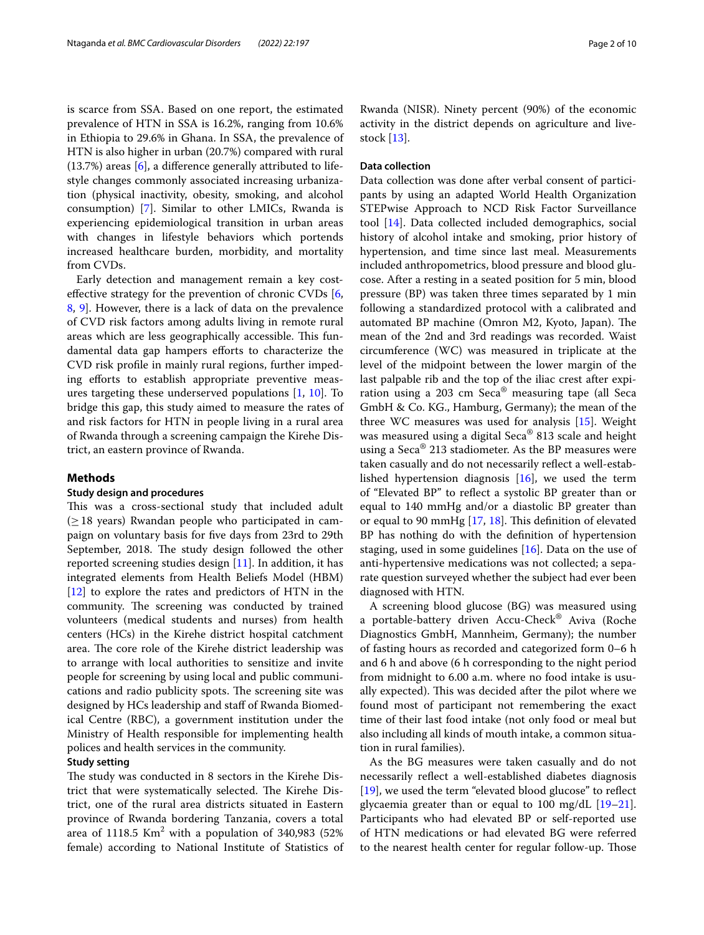is scarce from SSA. Based on one report, the estimated prevalence of HTN in SSA is 16.2%, ranging from 10.6% in Ethiopia to 29.6% in Ghana. In SSA, the prevalence of HTN is also higher in urban (20.7%) compared with rural (13.7%) areas [[6\]](#page-8-5), a diference generally attributed to lifestyle changes commonly associated increasing urbanization (physical inactivity, obesity, smoking, and alcohol consumption) [[7\]](#page-8-6). Similar to other LMICs, Rwanda is experiencing epidemiological transition in urban areas with changes in lifestyle behaviors which portends increased healthcare burden, morbidity, and mortality from CVDs.

Early detection and management remain a key costefective strategy for the prevention of chronic CVDs [\[6](#page-8-5), [8,](#page-8-7) [9](#page-8-8)]. However, there is a lack of data on the prevalence of CVD risk factors among adults living in remote rural areas which are less geographically accessible. This fundamental data gap hampers eforts to characterize the CVD risk profle in mainly rural regions, further impeding efforts to establish appropriate preventive measures targeting these underserved populations [[1,](#page-8-0) [10](#page-8-9)]. To bridge this gap, this study aimed to measure the rates of and risk factors for HTN in people living in a rural area of Rwanda through a screening campaign the Kirehe District, an eastern province of Rwanda.

#### **Methods**

### **Study design and procedures**

This was a cross-sectional study that included adult  $(≥18$  years) Rwandan people who participated in campaign on voluntary basis for fve days from 23rd to 29th September, 2018. The study design followed the other reported screening studies design [\[11](#page-8-10)]. In addition, it has integrated elements from Health Beliefs Model (HBM) [[12\]](#page-8-11) to explore the rates and predictors of HTN in the community. The screening was conducted by trained volunteers (medical students and nurses) from health centers (HCs) in the Kirehe district hospital catchment area. The core role of the Kirehe district leadership was to arrange with local authorities to sensitize and invite people for screening by using local and public communications and radio publicity spots. The screening site was designed by HCs leadership and staff of Rwanda Biomedical Centre (RBC), a government institution under the Ministry of Health responsible for implementing health polices and health services in the community.

## **Study setting**

The study was conducted in 8 sectors in the Kirehe District that were systematically selected. The Kirehe District, one of the rural area districts situated in Eastern province of Rwanda bordering Tanzania, covers a total area of 1118.5  $\mathrm{Km}^2$  with a population of 340,983 (52% female) according to National Institute of Statistics of

Rwanda (NISR). Ninety percent (90%) of the economic activity in the district depends on agriculture and livestock [[13\]](#page-8-12).

# **Data collection**

Data collection was done after verbal consent of participants by using an adapted World Health Organization STEPwise Approach to NCD Risk Factor Surveillance tool [\[14\]](#page-8-13). Data collected included demographics, social history of alcohol intake and smoking, prior history of hypertension, and time since last meal. Measurements included anthropometrics, blood pressure and blood glucose. After a resting in a seated position for 5 min, blood pressure (BP) was taken three times separated by 1 min following a standardized protocol with a calibrated and automated BP machine (Omron M2, Kyoto, Japan). The mean of the 2nd and 3rd readings was recorded. Waist circumference (WC) was measured in triplicate at the level of the midpoint between the lower margin of the last palpable rib and the top of the iliac crest after expiration using a 203 cm Seca® measuring tape (all Seca GmbH & Co. KG., Hamburg, Germany); the mean of the three WC measures was used for analysis [[15\]](#page-8-14). Weight was measured using a digital Seca® 813 scale and height using a Seca® 213 stadiometer. As the BP measures were taken casually and do not necessarily refect a well-established hypertension diagnosis [[16](#page-8-15)], we used the term of "Elevated BP" to refect a systolic BP greater than or equal to 140 mmHg and/or a diastolic BP greater than or equal to 90 mmHg [\[17,](#page-8-16) [18\]](#page-8-17). This definition of elevated BP has nothing do with the defnition of hypertension staging, used in some guidelines [\[16](#page-8-15)]. Data on the use of anti-hypertensive medications was not collected; a separate question surveyed whether the subject had ever been diagnosed with HTN.

A screening blood glucose (BG) was measured using a portable-battery driven Accu-Check® Aviva (Roche Diagnostics GmbH, Mannheim, Germany); the number of fasting hours as recorded and categorized form 0–6 h and 6 h and above (6 h corresponding to the night period from midnight to 6.00 a.m. where no food intake is usually expected). This was decided after the pilot where we found most of participant not remembering the exact time of their last food intake (not only food or meal but also including all kinds of mouth intake, a common situation in rural families).

As the BG measures were taken casually and do not necessarily refect a well-established diabetes diagnosis [[19\]](#page-8-18), we used the term "elevated blood glucose" to reflect glycaemia greater than or equal to 100 mg/dL [[19](#page-8-18)[–21](#page-8-19)]. Participants who had elevated BP or self-reported use of HTN medications or had elevated BG were referred to the nearest health center for regular follow-up. Those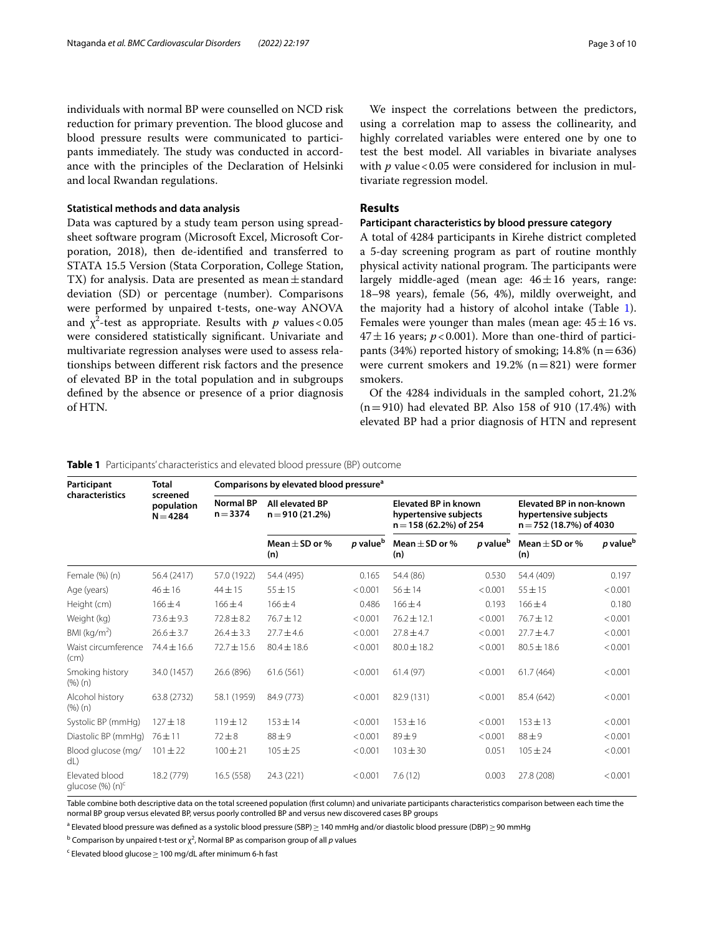individuals with normal BP were counselled on NCD risk reduction for primary prevention. The blood glucose and blood pressure results were communicated to participants immediately. The study was conducted in accordance with the principles of the Declaration of Helsinki and local Rwandan regulations.

## **Statistical methods and data analysis**

Data was captured by a study team person using spreadsheet software program (Microsoft Excel, Microsoft Corporation, 2018), then de-identifed and transferred to STATA 15.5 Version (Stata Corporation, College Station, TX) for analysis. Data are presented as mean  $\pm$  standard deviation (SD) or percentage (number). Comparisons were performed by unpaired t-tests, one-way ANOVA and  $\chi^2$ -test as appropriate. Results with  $p$  values < 0.05 were considered statistically signifcant. Univariate and multivariate regression analyses were used to assess relationships between diferent risk factors and the presence of elevated BP in the total population and in subgroups defned by the absence or presence of a prior diagnosis of HTN.

We inspect the correlations between the predictors, using a correlation map to assess the collinearity, and highly correlated variables were entered one by one to test the best model. All variables in bivariate analyses with  $p$  value < 0.05 were considered for inclusion in multivariate regression model.

# **Results**

# **Participant characteristics by blood pressure category**

A total of 4284 participants in Kirehe district completed a 5-day screening program as part of routine monthly physical activity national program. The participants were largely middle-aged (mean age:  $46 \pm 16$  years, range: 18–98 years), female (56, 4%), mildly overweight, and the majority had a history of alcohol intake (Table [1](#page-2-0)). Females were younger than males (mean age:  $45 \pm 16$  vs.  $47 \pm 16$  years;  $p < 0.001$ ). More than one-third of participants (34%) reported history of smoking;  $14.8\%$  (n = 636) were current smokers and 19.2%  $(n=821)$  were former smokers.

Of the 4284 individuals in the sampled cohort, 21.2%  $(n=910)$  had elevated BP. Also 158 of 910 (17.4%) with elevated BP had a prior diagnosis of HTN and represent

<span id="page-2-0"></span>**Table 1** Participants' characteristics and elevated blood pressure (BP) outcome

| Participant<br>characteristics           | Total<br>screened<br>population<br>$N = 4284$ | Comparisons by elevated blood pressure <sup>a</sup> |                                     |                      |                                                                                 |                      |                                                                              |                      |  |
|------------------------------------------|-----------------------------------------------|-----------------------------------------------------|-------------------------------------|----------------------|---------------------------------------------------------------------------------|----------------------|------------------------------------------------------------------------------|----------------------|--|
|                                          |                                               | <b>Normal BP</b><br>$n = 3374$                      | All elevated BP<br>$n = 910(21.2%)$ |                      | <b>Elevated BP in known</b><br>hypertensive subjects<br>$n = 158(62.2%)$ of 254 |                      | Elevated BP in non-known<br>hypertensive subjects<br>n = 752 (18.7%) of 4030 |                      |  |
|                                          |                                               |                                                     | Mean $\pm$ SD or %<br>(n)           | p value <sup>b</sup> | Mean $\pm$ SD or %<br>(n)                                                       | p value <sup>b</sup> | Mean $\pm$ SD or %<br>(n)                                                    | p value <sup>t</sup> |  |
| Female (%) (n)                           | 56.4 (2417)                                   | 57.0 (1922)                                         | 54.4 (495)                          | 0.165                | 54.4 (86)                                                                       | 0.530                | 54.4 (409)                                                                   | 0.197                |  |
| Age (years)                              | $46 \pm 16$                                   | $44 \pm 15$                                         | $55 \pm 15$                         | < 0.001              | $56 \pm 14$                                                                     | < 0.001              | $55 \pm 15$                                                                  | < 0.001              |  |
| Height (cm)                              | $166 + 4$                                     | $166 \pm 4$                                         | $166 \pm 4$                         | 0.486                | $166 \pm 4$                                                                     | 0.193                | $166 + 4$                                                                    | 0.180                |  |
| Weight (kg)                              | $73.6 \pm 9.3$                                | $72.8 \pm 8.2$                                      | $76.7 \pm 12$                       | < 0.001              | $76.2 \pm 12.1$                                                                 | < 0.001              | 76.7±12                                                                      | < 0.001              |  |
| BMI (kg/m <sup>2</sup> )                 | $26.6 \pm 3.7$                                | $26.4 \pm 3.3$                                      | $27.7 \pm 4.6$                      | < 0.001              | $27.8 \pm 4.7$                                                                  | < 0.001              | $27.7 + 4.7$                                                                 | < 0.001              |  |
| Waist circumference<br>(cm)              | $74.4 \pm 16.6$                               | $72.7 \pm 15.6$                                     | $80.4 \pm 18.6$                     | < 0.001              | $80.0 \pm 18.2$                                                                 | < 0.001              | $80.5 \pm 18.6$                                                              | < 0.001              |  |
| Smoking history<br>(%) (n)               | 34.0 (1457)                                   | 26.6 (896)                                          | 61.6(561)                           | < 0.001              | 61.4(97)                                                                        | < 0.001              | 61.7(464)                                                                    | < 0.001              |  |
| Alcohol history<br>(%) (n)               | 63.8 (2732)                                   | 58.1 (1959)                                         | 84.9 (773)                          | < 0.001              | 82.9 (131)                                                                      | < 0.001              | 85.4 (642)                                                                   | < 0.001              |  |
| Systolic BP (mmHq)                       | $127 + 18$                                    | $119 \pm 12$                                        | $153 \pm 14$                        | < 0.001              | $153 \pm 16$                                                                    | < 0.001              | $153 + 13$                                                                   | < 0.001              |  |
| Diastolic BP (mmHg)                      | $76 + 11$                                     | $72 + 8$                                            | $88 + 9$                            | < 0.001              | $89 \pm 9$                                                                      | < 0.001              | $88 + 9$                                                                     | < 0.001              |  |
| Blood glucose (mg/<br>dL)                | $101 \pm 22$                                  | $100 \pm 21$                                        | $105 \pm 25$                        | < 0.001              | $103 \pm 30$                                                                    | 0.051                | $105 \pm 24$                                                                 | < 0.001              |  |
| Elevated blood<br>glucose $(\%)$ (n) $c$ | 18.2 (779)                                    | 16.5 (558)                                          | 24.3 (221)                          | < 0.001              | 7.6(12)                                                                         | 0.003                | 27.8 (208)                                                                   | < 0.001              |  |

Table combine both descriptive data on the total screened population (frst column) and univariate participants characteristics comparison between each time the normal BP group versus elevated BP, versus poorly controlled BP and versus new discovered cases BP groups

<sup>a</sup> Elevated blood pressure was defined as a systolic blood pressure (SBP)≥ 140 mmHg and/or diastolic blood pressure (DBP)≥90 mmHg

<sup>b</sup> Comparison by unpaired t-test or  $\chi^2$ , Normal BP as comparison group of all  $p$  values

 $\textsf{c}\,$  Elevated blood glucose $\geq$  100 mg/dL after minimum 6-h fast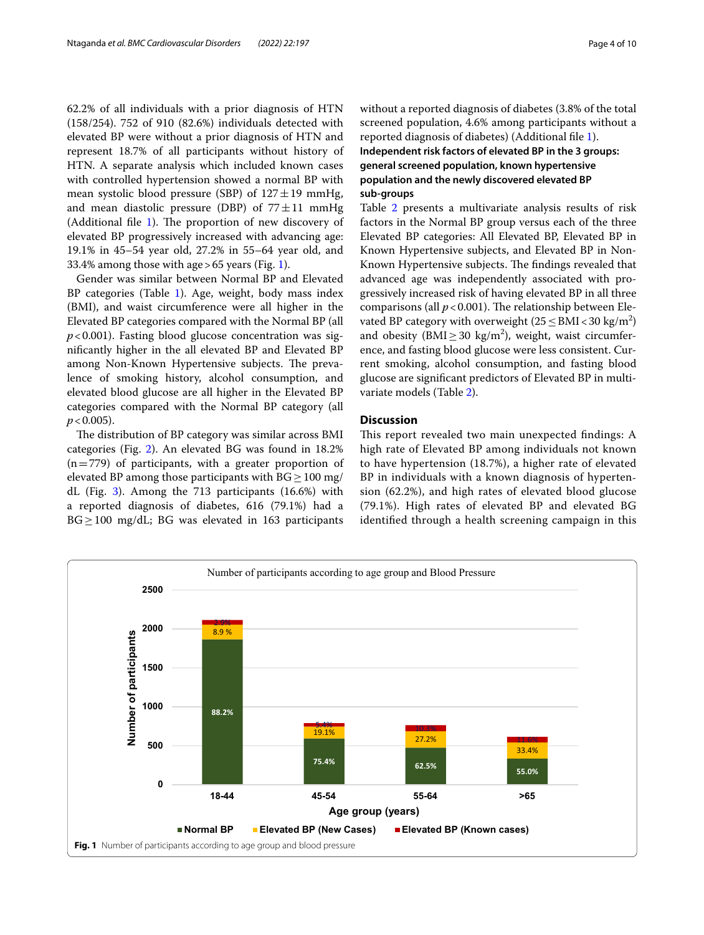62.2% of all individuals with a prior diagnosis of HTN (158/254). 752 of 910 (82.6%) individuals detected with elevated BP were without a prior diagnosis of HTN and represent 18.7% of all participants without history of HTN. A separate analysis which included known cases with controlled hypertension showed a normal BP with mean systolic blood pressure (SBP) of  $127 \pm 19$  mmHg, and mean diastolic pressure (DBP) of  $77 \pm 11$  mmHg (Additional file  $1$ ). The proportion of new discovery of elevated BP progressively increased with advancing age: 19.1% in 45–54 year old, 27.2% in 55–64 year old, and 33.4% among those with age>65 years (Fig. [1](#page-3-0)).

Gender was similar between Normal BP and Elevated BP categories (Table [1\)](#page-2-0). Age, weight, body mass index (BMI), and waist circumference were all higher in the Elevated BP categories compared with the Normal BP (all *p*<0.001). Fasting blood glucose concentration was signifcantly higher in the all elevated BP and Elevated BP among Non-Known Hypertensive subjects. The prevalence of smoking history, alcohol consumption, and elevated blood glucose are all higher in the Elevated BP categories compared with the Normal BP category (all  $p < 0.005$ ).

The distribution of BP category was similar across BMI categories (Fig. [2](#page-4-0)). An elevated BG was found in 18.2%  $(n=779)$  of participants, with a greater proportion of elevated BP among those participants with  $BG \ge 100$  mg/ dL (Fig. [3](#page-4-1)). Among the 713 participants (16.6%) with a reported diagnosis of diabetes, 616 (79.1%) had a  $BG \geq 100$  mg/dL; BG was elevated in 163 participants without a reported diagnosis of diabetes (3.8% of the total screened population, 4.6% among participants without a reported diagnosis of diabetes) (Additional fle [1](#page-7-0)). **Independent risk factors of elevated BP in the 3 groups: general screened population, known hypertensive population and the newly discovered elevated BP** 

## **sub-groups**

Table [2](#page-5-0) presents a multivariate analysis results of risk factors in the Normal BP group versus each of the three Elevated BP categories: All Elevated BP, Elevated BP in Known Hypertensive subjects, and Elevated BP in Non-Known Hypertensive subjects. The findings revealed that advanced age was independently associated with progressively increased risk of having elevated BP in all three comparisons (all  $p < 0.001$ ). The relationship between Elevated BP category with overweight ( $25 \leq BMI < 30 \text{ kg/m}^2$ ) and obesity ( $\text{BMI} \geq 30 \text{ kg/m}^2$ ), weight, waist circumference, and fasting blood glucose were less consistent. Current smoking, alcohol consumption, and fasting blood glucose are signifcant predictors of Elevated BP in multivariate models (Table [2](#page-5-0)).

# **Discussion**

This report revealed two main unexpected findings: A high rate of Elevated BP among individuals not known to have hypertension (18.7%), a higher rate of elevated BP in individuals with a known diagnosis of hypertension (62.2%), and high rates of elevated blood glucose (79.1%). High rates of elevated BP and elevated BG identifed through a health screening campaign in this

<span id="page-3-0"></span>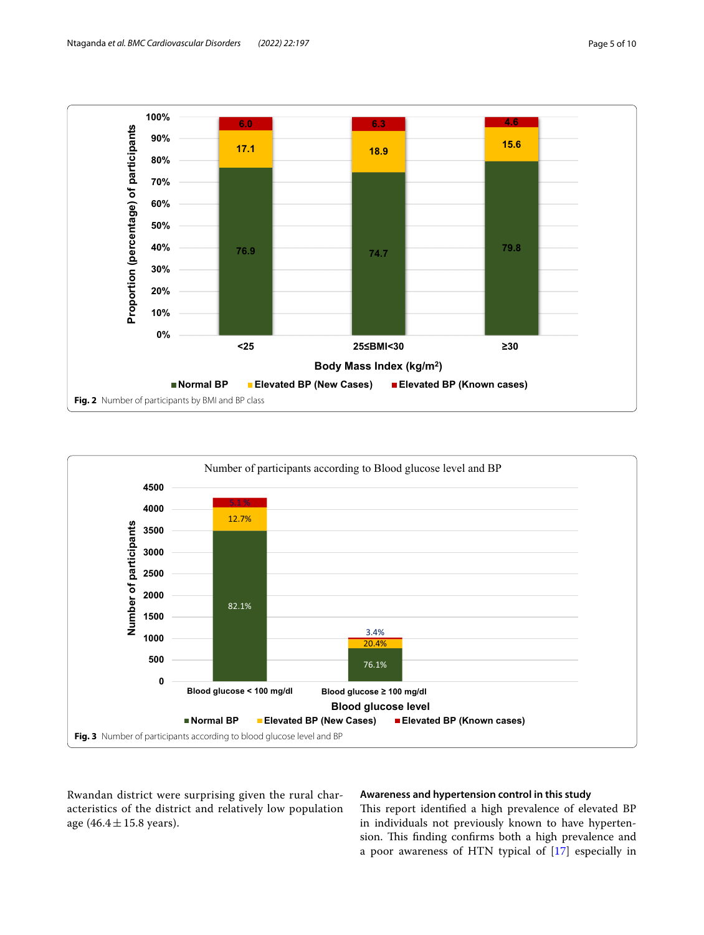

<span id="page-4-0"></span>

<span id="page-4-1"></span>Rwandan district were surprising given the rural characteristics of the district and relatively low population age  $(46.4 \pm 15.8 \text{ years}).$ 

# **Awareness and hypertension control in this study**

This report identified a high prevalence of elevated BP in individuals not previously known to have hypertension. This finding confirms both a high prevalence and a poor awareness of HTN typical of [\[17](#page-8-16)] especially in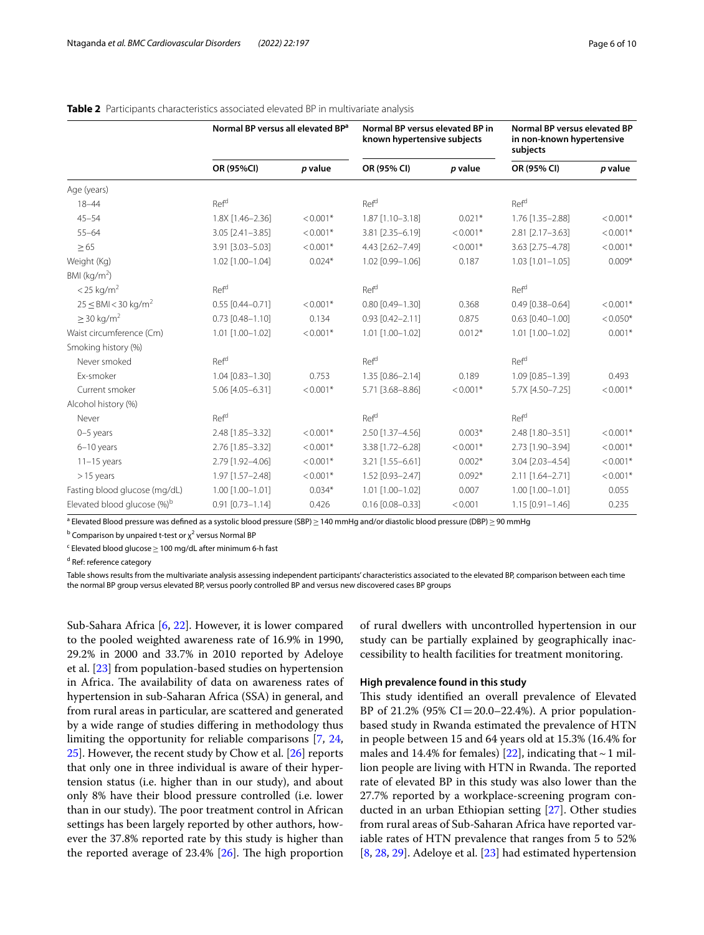|                                         | Normal BP versus all elevated BP <sup>a</sup> |            | Normal BP versus elevated BP in<br>known hypertensive subjects |            | Normal BP versus elevated BP<br>in non-known hypertensive<br>subjects |            |
|-----------------------------------------|-----------------------------------------------|------------|----------------------------------------------------------------|------------|-----------------------------------------------------------------------|------------|
|                                         | OR (95%CI)                                    | p value    | OR (95% CI)                                                    | p value    | OR (95% CI)                                                           | p value    |
| Age (years)                             |                                               |            |                                                                |            |                                                                       |            |
| $18 - 44$                               | Ref <sup>d</sup>                              |            | Ref <sup>d</sup>                                               |            | Ref <sup>d</sup>                                                      |            |
| $45 - 54$                               | 1.8X [1.46-2.36]                              | $< 0.001*$ | 1.87 [1.10-3.18]                                               | $0.021*$   | 1.76 [1.35-2.88]                                                      | $< 0.001*$ |
| $55 - 64$                               | 3.05 [2.41-3.85]                              | $< 0.001*$ | 3.81 [2.35-6.19]                                               | $< 0.001*$ | 2.81 [2.17-3.63]                                                      | $< 0.001*$ |
| $\geq 65$                               | 3.91 [3.03-5.03]                              | $< 0.001*$ | 4.43 [2.62-7.49]                                               | $< 0.001*$ | 3.63 [2.75-4.78]                                                      | $< 0.001*$ |
| Weight (Kg)                             | 1.02 [1.00-1.04]                              | $0.024*$   | 1.02 [0.99-1.06]                                               | 0.187      | $1.03$ $[1.01 - 1.05]$                                                | $0.009*$   |
| BMI ( $kg/m2$ )                         |                                               |            |                                                                |            |                                                                       |            |
| $<$ 25 kg/m <sup>2</sup>                | Ref <sup>d</sup>                              |            | Ref <sup>d</sup>                                               |            | Ref <sup>d</sup>                                                      |            |
| $25 \leq$ BMI < 30 kg/m <sup>2</sup>    | $0.55$ [0.44-0.71]                            | $< 0.001*$ | $0.80$ [0.49-1.30]                                             | 0.368      | $0.49$ [0.38-0.64]                                                    | $< 0.001*$ |
| $\geq$ 30 kg/m <sup>2</sup>             | $0.73$ $[0.48 - 1.10]$                        | 0.134      | $0.93$ $[0.42 - 2.11]$                                         | 0.875      | $0.63$ $[0.40 - 1.00]$                                                | $< 0.050*$ |
| Waist circumference (Cm)                | 1.01 [1.00-1.02]                              | $< 0.001*$ | $1.01$ $[1.00 - 1.02]$                                         | $0.012*$   | 1.01 [1.00-1.02]                                                      | $0.001*$   |
| Smoking history (%)                     |                                               |            |                                                                |            |                                                                       |            |
| Never smoked                            | Ref <sup>d</sup>                              |            | Ref <sup>d</sup>                                               |            | Ref <sup>d</sup>                                                      |            |
| Ex-smoker                               | $1.04$ [0.83-1.30]                            | 0.753      | 1.35 [0.86-2.14]                                               | 0.189      | 1.09 [0.85-1.39]                                                      | 0.493      |
| Current smoker                          | 5.06 [4.05-6.31]                              | $< 0.001*$ | 5.71 [3.68-8.86]                                               | $< 0.001*$ | 5.7X [4.50-7.25]                                                      | $< 0.001*$ |
| Alcohol history (%)                     |                                               |            |                                                                |            |                                                                       |            |
| Never                                   | Ref <sup>d</sup>                              |            | Ref <sup>d</sup>                                               |            | Ref <sup>d</sup>                                                      |            |
| $0-5$ years                             | 2.48 [1.85-3.32]                              | $< 0.001*$ | 2.50 [1.37-4.56]                                               | $0.003*$   | 2.48 [1.80-3.51]                                                      | $< 0.001*$ |
| 6-10 years                              | 2.76 [1.85-3.32]                              | $< 0.001*$ | 3.38 [1.72-6.28]                                               | $< 0.001*$ | 2.73 [1.90-3.94]                                                      | $< 0.001*$ |
| $11-15$ years                           | 2.79 [1.92-4.06]                              | $< 0.001*$ | 3.21 [1.55-6.61]                                               | $0.002*$   | 3.04 [2.03-4.54]                                                      | $< 0.001*$ |
| $>15$ years                             | 1.97 [1.57-2.48]                              | $< 0.001*$ | 1.52 [0.93-2.47]                                               | $0.092*$   | 2.11 [1.64-2.71]                                                      | $< 0.001*$ |
| Fasting blood glucose (mg/dL)           | 1.00 [1.00-1.01]                              | $0.034*$   | $1.01$ $[1.00 - 1.02]$                                         | 0.007      | 1.00 [1.00-1.01]                                                      | 0.055      |
| Elevated blood glucose (%) <sup>b</sup> | $0.91$ $[0.73 - 1.14]$                        | 0.426      | $0.16$ [0.08-0.33]                                             | < 0.001    | $1.15$ [0.91-1.46]                                                    | 0.235      |

## <span id="page-5-0"></span>**Table 2** Participants characteristics associated elevated BP in multivariate analysis

<sup>a</sup> Elevated Blood pressure was defined as a systolic blood pressure (SBP) ≥ 140 mmHg and/or diastolic blood pressure (DBP) ≥ 90 mmHg

 $^{\rm b}$  Comparison by unpaired t-test or  $\chi^2$  versus Normal BP

 $\textsf{c}\,$  Elevated blood glucose $\geq$  100 mg/dL after minimum 6-h fast

<sup>d</sup> Ref: reference category

Table shows results from the multivariate analysis assessing independent participants' characteristics associated to the elevated BP, comparison between each time the normal BP group versus elevated BP, versus poorly controlled BP and versus new discovered cases BP groups

Sub-Sahara Africa [\[6,](#page-8-5) [22\]](#page-8-20). However, it is lower compared to the pooled weighted awareness rate of 16.9% in 1990, 29.2% in 2000 and 33.7% in 2010 reported by Adeloye et al. [\[23](#page-8-21)] from population-based studies on hypertension in Africa. The availability of data on awareness rates of hypertension in sub-Saharan Africa (SSA) in general, and from rural areas in particular, are scattered and generated by a wide range of studies difering in methodology thus limiting the opportunity for reliable comparisons [\[7,](#page-8-6) [24](#page-8-22), [25\]](#page-8-23). However, the recent study by Chow et al. [\[26](#page-8-24)] reports that only one in three individual is aware of their hypertension status (i.e. higher than in our study), and about only 8% have their blood pressure controlled (i.e. lower than in our study). The poor treatment control in African settings has been largely reported by other authors, however the 37.8% reported rate by this study is higher than the reported average of  $23.4\%$   $[26]$ . The high proportion

of rural dwellers with uncontrolled hypertension in our study can be partially explained by geographically inaccessibility to health facilities for treatment monitoring.

#### **High prevalence found in this study**

This study identified an overall prevalence of Elevated BP of 21.2% (95%  $CI = 20.0 - 22.4$ %). A prior populationbased study in Rwanda estimated the prevalence of HTN in people between 15 and 64 years old at 15.3% (16.4% for males and 14.4% for females) [\[22](#page-8-20)], indicating that  $\sim$  1 million people are living with HTN in Rwanda. The reported rate of elevated BP in this study was also lower than the 27.7% reported by a workplace-screening program conducted in an urban Ethiopian setting [\[27\]](#page-8-25). Other studies from rural areas of Sub-Saharan Africa have reported variable rates of HTN prevalence that ranges from 5 to 52% [[8,](#page-8-7) [28](#page-8-26), [29\]](#page-8-27). Adeloye et al. [[23\]](#page-8-21) had estimated hypertension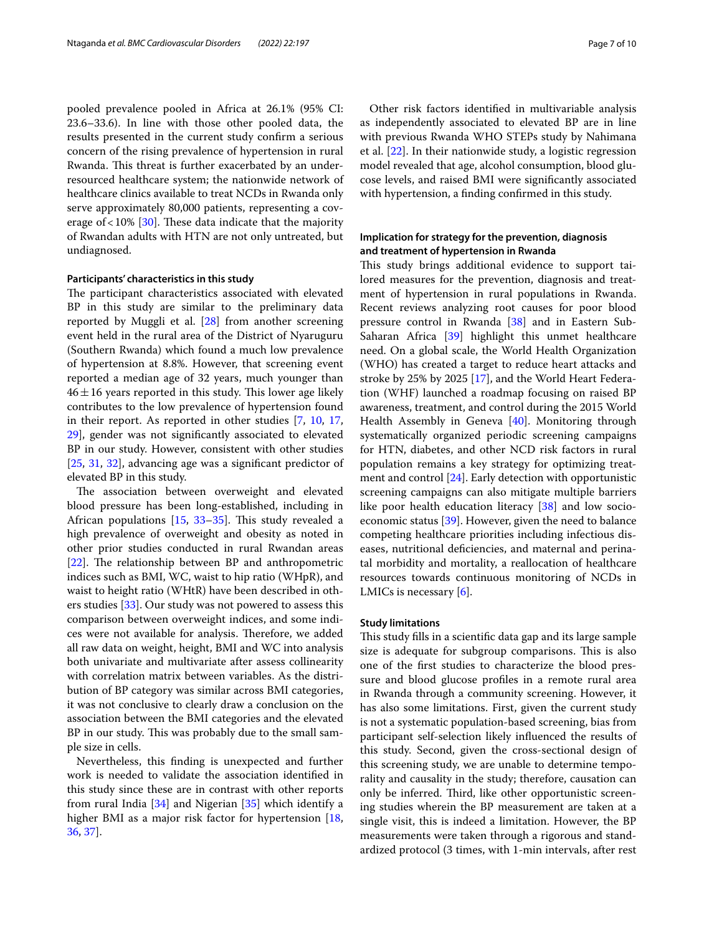pooled prevalence pooled in Africa at 26.1% (95% CI: 23.6–33.6). In line with those other pooled data, the results presented in the current study confrm a serious concern of the rising prevalence of hypertension in rural Rwanda. This threat is further exacerbated by an underresourced healthcare system; the nationwide network of healthcare clinics available to treat NCDs in Rwanda only serve approximately 80,000 patients, representing a coverage of  $< 10\%$  [\[30\]](#page-8-28). These data indicate that the majority of Rwandan adults with HTN are not only untreated, but undiagnosed.

#### **Participants' characteristics in this study**

The participant characteristics associated with elevated BP in this study are similar to the preliminary data reported by Muggli et al. [\[28\]](#page-8-26) from another screening event held in the rural area of the District of Nyaruguru (Southern Rwanda) which found a much low prevalence of hypertension at 8.8%. However, that screening event reported a median age of 32 years, much younger than  $46 \pm 16$  years reported in this study. This lower age likely contributes to the low prevalence of hypertension found in their report. As reported in other studies [[7](#page-8-6), [10](#page-8-9), [17](#page-8-16), [29\]](#page-8-27), gender was not signifcantly associated to elevated BP in our study. However, consistent with other studies [[25,](#page-8-23) [31,](#page-8-29) [32](#page-8-30)], advancing age was a significant predictor of elevated BP in this study.

The association between overweight and elevated blood pressure has been long-established, including in African populations  $[15, 33-35]$  $[15, 33-35]$  $[15, 33-35]$  $[15, 33-35]$ . This study revealed a high prevalence of overweight and obesity as noted in other prior studies conducted in rural Rwandan areas  $[22]$  $[22]$ . The relationship between BP and anthropometric indices such as BMI, WC, waist to hip ratio (WHpR), and waist to height ratio (WHtR) have been described in others studies [\[33\]](#page-8-31). Our study was not powered to assess this comparison between overweight indices, and some indices were not available for analysis. Therefore, we added all raw data on weight, height, BMI and WC into analysis both univariate and multivariate after assess collinearity with correlation matrix between variables. As the distribution of BP category was similar across BMI categories, it was not conclusive to clearly draw a conclusion on the association between the BMI categories and the elevated BP in our study. This was probably due to the small sample size in cells.

Nevertheless, this fnding is unexpected and further work is needed to validate the association identifed in this study since these are in contrast with other reports from rural India [[34](#page-8-33)] and Nigerian [\[35](#page-8-32)] which identify a higher BMI as a major risk factor for hypertension [\[18](#page-8-17), [36,](#page-8-34) [37\]](#page-9-0).

Other risk factors identifed in multivariable analysis as independently associated to elevated BP are in line with previous Rwanda WHO STEPs study by Nahimana et al. [\[22](#page-8-20)]. In their nationwide study, a logistic regression model revealed that age, alcohol consumption, blood glucose levels, and raised BMI were signifcantly associated with hypertension, a fnding confrmed in this study.

# **Implication for strategy for the prevention, diagnosis and treatment of hypertension in Rwanda**

This study brings additional evidence to support tailored measures for the prevention, diagnosis and treatment of hypertension in rural populations in Rwanda. Recent reviews analyzing root causes for poor blood pressure control in Rwanda [\[38](#page-9-1)] and in Eastern Sub-Saharan Africa [\[39\]](#page-9-2) highlight this unmet healthcare need. On a global scale, the World Health Organization (WHO) has created a target to reduce heart attacks and stroke by 25% by 2025 [[17](#page-8-16)], and the World Heart Federation (WHF) launched a roadmap focusing on raised BP awareness, treatment, and control during the 2015 World Health Assembly in Geneva [[40](#page-9-3)]. Monitoring through systematically organized periodic screening campaigns for HTN, diabetes, and other NCD risk factors in rural population remains a key strategy for optimizing treatment and control [[24\]](#page-8-22). Early detection with opportunistic screening campaigns can also mitigate multiple barriers like poor health education literacy [[38](#page-9-1)] and low socioeconomic status [\[39](#page-9-2)]. However, given the need to balance competing healthcare priorities including infectious diseases, nutritional defciencies, and maternal and perinatal morbidity and mortality, a reallocation of healthcare resources towards continuous monitoring of NCDs in LMICs is necessary  $[6]$  $[6]$  $[6]$ .

## **Study limitations**

This study fills in a scientific data gap and its large sample size is adequate for subgroup comparisons. This is also one of the frst studies to characterize the blood pressure and blood glucose profles in a remote rural area in Rwanda through a community screening. However, it has also some limitations. First, given the current study is not a systematic population-based screening, bias from participant self-selection likely infuenced the results of this study. Second, given the cross-sectional design of this screening study, we are unable to determine temporality and causality in the study; therefore, causation can only be inferred. Third, like other opportunistic screening studies wherein the BP measurement are taken at a single visit, this is indeed a limitation. However, the BP measurements were taken through a rigorous and standardized protocol (3 times, with 1-min intervals, after rest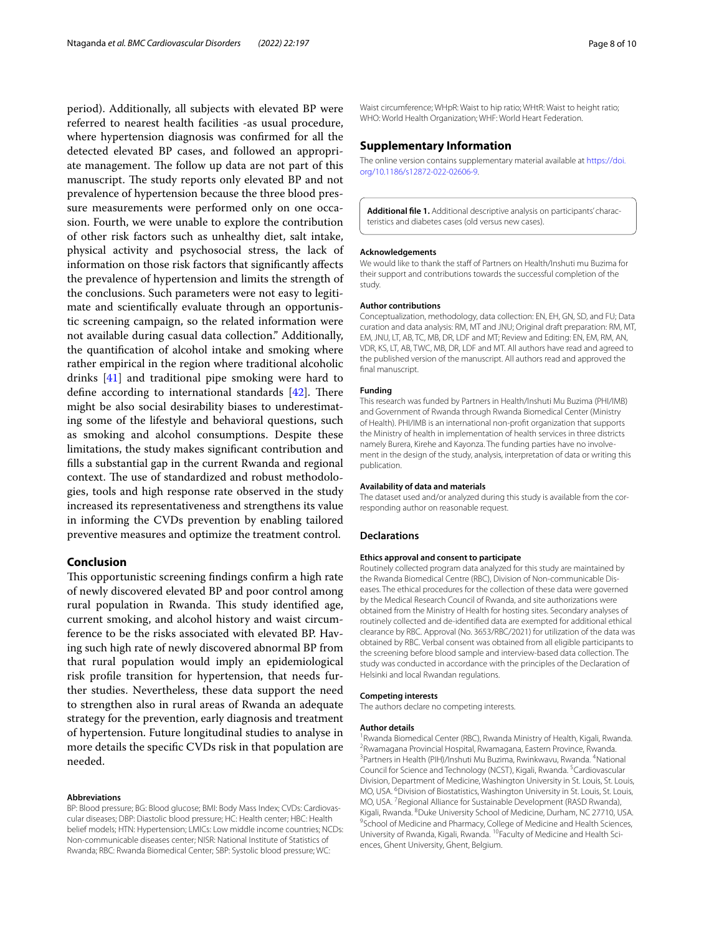period). Additionally, all subjects with elevated BP were referred to nearest health facilities -as usual procedure, where hypertension diagnosis was confrmed for all the detected elevated BP cases, and followed an appropriate management. The follow up data are not part of this manuscript. The study reports only elevated BP and not prevalence of hypertension because the three blood pressure measurements were performed only on one occasion. Fourth, we were unable to explore the contribution of other risk factors such as unhealthy diet, salt intake, physical activity and psychosocial stress, the lack of information on those risk factors that signifcantly afects the prevalence of hypertension and limits the strength of the conclusions. Such parameters were not easy to legitimate and scientifcally evaluate through an opportunistic screening campaign, so the related information were not available during casual data collection." Additionally, the quantifcation of alcohol intake and smoking where rather empirical in the region where traditional alcoholic drinks [\[41](#page-9-4)] and traditional pipe smoking were hard to define according to international standards  $[42]$  $[42]$ . There might be also social desirability biases to underestimating some of the lifestyle and behavioral questions, such as smoking and alcohol consumptions. Despite these limitations, the study makes signifcant contribution and flls a substantial gap in the current Rwanda and regional context. The use of standardized and robust methodologies, tools and high response rate observed in the study increased its representativeness and strengthens its value in informing the CVDs prevention by enabling tailored preventive measures and optimize the treatment control.

# **Conclusion**

This opportunistic screening findings confirm a high rate of newly discovered elevated BP and poor control among rural population in Rwanda. This study identified age, current smoking, and alcohol history and waist circumference to be the risks associated with elevated BP. Having such high rate of newly discovered abnormal BP from that rural population would imply an epidemiological risk profle transition for hypertension, that needs further studies. Nevertheless, these data support the need to strengthen also in rural areas of Rwanda an adequate strategy for the prevention, early diagnosis and treatment of hypertension. Future longitudinal studies to analyse in more details the specifc CVDs risk in that population are needed.

#### **Abbreviations**

BP: Blood pressure; BG: Blood glucose; BMI: Body Mass Index; CVDs: Cardiovascular diseases; DBP: Diastolic blood pressure; HC: Health center; HBC: Health belief models; HTN: Hypertension; LMICs: Low middle income countries; NCDs: Non-communicable diseases center; NISR: National Institute of Statistics of Rwanda; RBC: Rwanda Biomedical Center; SBP: Systolic blood pressure; WC:

Waist circumference; WHpR: Waist to hip ratio; WHtR: Waist to height ratio; WHO: World Health Organization; WHF: World Heart Federation.

## **Supplementary Information**

The online version contains supplementary material available at [https://doi.](https://doi.org/10.1186/s12872-022-02606-9) [org/10.1186/s12872-022-02606-9](https://doi.org/10.1186/s12872-022-02606-9).

<span id="page-7-0"></span>Additional file 1. Additional descriptive analysis on participants' characteristics and diabetes cases (old versus new cases).

#### **Acknowledgements**

We would like to thank the staff of Partners on Health/Inshuti mu Buzima for their support and contributions towards the successful completion of the study.

#### **Author contributions**

Conceptualization, methodology, data collection: EN, EH, GN, SD, and FU; Data curation and data analysis: RM, MT and JNU; Original draft preparation: RM, MT, EM, JNU, LT, AB, TC, MB, DR, LDF and MT; Review and Editing: EN, EM, RM, AN, VDR, KS, LT, AB, TWC, MB, DR, LDF and MT. All authors have read and agreed to the published version of the manuscript. All authors read and approved the final manuscript.

#### **Funding**

This research was funded by Partners in Health/Inshuti Mu Buzima (PHI/IMB) and Government of Rwanda through Rwanda Biomedical Center (Ministry of Health). PHI/IMB is an international non-proft organization that supports the Ministry of health in implementation of health services in three districts namely Burera, Kirehe and Kayonza. The funding parties have no involvement in the design of the study, analysis, interpretation of data or writing this publication.

#### **Availability of data and materials**

The dataset used and/or analyzed during this study is available from the corresponding author on reasonable request.

#### **Declarations**

#### **Ethics approval and consent to participate**

Routinely collected program data analyzed for this study are maintained by the Rwanda Biomedical Centre (RBC), Division of Non-communicable Diseases. The ethical procedures for the collection of these data were governed by the Medical Research Council of Rwanda, and site authorizations were obtained from the Ministry of Health for hosting sites. Secondary analyses of routinely collected and de-identifed data are exempted for additional ethical clearance by RBC. Approval (No. 3653/RBC/2021) for utilization of the data was obtained by RBC. Verbal consent was obtained from all eligible participants to the screening before blood sample and interview-based data collection. The study was conducted in accordance with the principles of the Declaration of Helsinki and local Rwandan regulations.

#### **Competing interests**

The authors declare no competing interests.

#### **Author details**

<sup>1</sup> Rwanda Biomedical Center (RBC), Rwanda Ministry of Health, Kigali, Rwanda.<br><sup>2</sup> Rwamagana Provincial Hospital, Rwamagana, Eastern Province, Rwanda. <sup>2</sup> Rwamagana Provincial Hospital, Rwamagana, Eastern Province, Rwanda. <sup>3</sup> Partners in Health (PIH)/Inshuti Mu Buzima, Rwinkwavu, Rwanda. <sup>4</sup> National Council for Science and Technology (NCST), Kigali, Rwanda. <sup>5</sup>Cardiovascular Division, Department of Medicine, Washington University in St. Louis, St. Louis, MO, USA. <sup>6</sup> Division of Biostatistics, Washington University in St. Louis, St. Louis, MO, USA. 7 Regional Alliance for Sustainable Development (RASD Rwanda), Kigali, Rwanda. <sup>8</sup>Duke University School of Medicine, Durham, NC 27710, USA.<br><sup>9</sup>School of Medicine and Pharmacy College of Medicine and Health Sciences. <sup>9</sup>School of Medicine and Pharmacy, College of Medicine and Health Sciences, University of Rwanda, Kigali, Rwanda. <sup>10</sup>Faculty of Medicine and Health Sciences, Ghent University, Ghent, Belgium.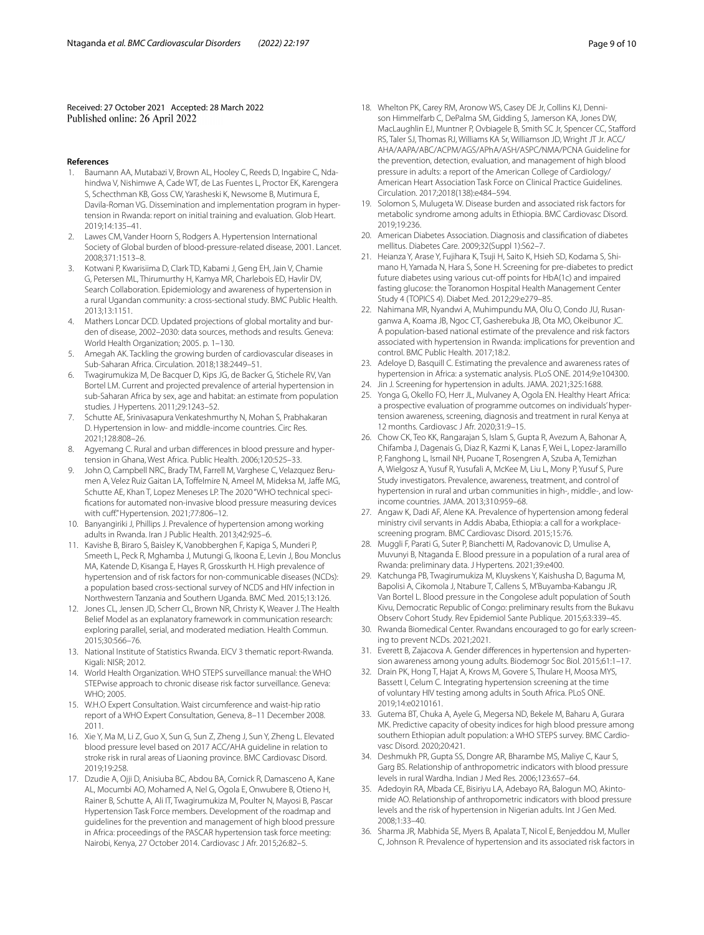Received: 27 October 2021 Accepted: 28 March 2022 Published online: 26 April 2022

#### **References**

- <span id="page-8-0"></span>Baumann AA, Mutabazi V, Brown AL, Hooley C, Reeds D, Ingabire C, Ndahindwa V, Nishimwe A, Cade WT, de Las Fuentes L, Proctor EK, Karengera S, Schecthman KB, Goss CW, Yarasheski K, Newsome B, Mutimura E, Davila-Roman VG. Dissemination and implementation program in hypertension in Rwanda: report on initial training and evaluation. Glob Heart. 2019;14:135–41.
- <span id="page-8-1"></span>2. Lawes CM, Vander Hoorn S, Rodgers A. Hypertension International Society of Global burden of blood-pressure-related disease, 2001. Lancet. 2008;371:1513–8.
- <span id="page-8-2"></span>3. Kotwani P, Kwarisiima D, Clark TD, Kabami J, Geng EH, Jain V, Chamie G, Petersen ML, Thirumurthy H, Kamya MR, Charlebois ED, Havlir DV, Search Collaboration. Epidemiology and awareness of hypertension in a rural Ugandan community: a cross-sectional study. BMC Public Health. 2013;13:1151.
- <span id="page-8-3"></span>4. Mathers Loncar DCD. Updated projections of global mortality and burden of disease, 2002–2030: data sources, methods and results. Geneva: World Health Organization; 2005. p. 1–130.
- <span id="page-8-4"></span>5. Amegah AK. Tackling the growing burden of cardiovascular diseases in Sub-Saharan Africa. Circulation. 2018;138:2449–51.
- <span id="page-8-5"></span>6. Twagirumukiza M, De Bacquer D, Kips JG, de Backer G, Stichele RV, Van Bortel LM. Current and projected prevalence of arterial hypertension in sub-Saharan Africa by sex, age and habitat: an estimate from population studies. J Hypertens. 2011;29:1243–52.
- <span id="page-8-6"></span>7. Schutte AE, Srinivasapura Venkateshmurthy N, Mohan S, Prabhakaran D. Hypertension in low- and middle-income countries. Circ Res. 2021;128:808–26.
- <span id="page-8-7"></span>8. Agyemang C. Rural and urban differences in blood pressure and hypertension in Ghana, West Africa. Public Health. 2006;120:525–33.
- <span id="page-8-8"></span>John O, Campbell NRC, Brady TM, Farrell M, Varghese C, Velazquez Berumen A, Velez Ruiz Gaitan LA, Toffelmire N, Ameel M, Mideksa M, Jaffe MG, Schutte AE, Khan T, Lopez Meneses LP. The 2020 "WHO technical specifcations for automated non-invasive blood pressure measuring devices with cuff." Hypertension. 2021;77:806-12.
- <span id="page-8-9"></span>10. Banyangiriki J, Phillips J. Prevalence of hypertension among working adults in Rwanda. Iran J Public Health. 2013;42:925–6.
- <span id="page-8-10"></span>11. Kavishe B, Biraro S, Baisley K, Vanobberghen F, Kapiga S, Munderi P, Smeeth L, Peck R, Mghamba J, Mutungi G, Ikoona E, Levin J, Bou Monclus MA, Katende D, Kisanga E, Hayes R, Grosskurth H. High prevalence of hypertension and of risk factors for non-communicable diseases (NCDs): a population based cross-sectional survey of NCDS and HIV infection in Northwestern Tanzania and Southern Uganda. BMC Med. 2015;13:126.
- <span id="page-8-11"></span>12. Jones CL, Jensen JD, Scherr CL, Brown NR, Christy K, Weaver J. The Health Belief Model as an explanatory framework in communication research: exploring parallel, serial, and moderated mediation. Health Commun. 2015;30:566–76.
- <span id="page-8-12"></span>13. National Institute of Statistics Rwanda. EICV 3 thematic report-Rwanda. Kigali: NISR; 2012.
- <span id="page-8-13"></span>14. World Health Organization. WHO STEPS surveillance manual: the WHO STEPwise approach to chronic disease risk factor surveillance. Geneva: WHO; 2005.
- <span id="page-8-14"></span>15. W.H.O Expert Consultation. Waist circumference and waist-hip ratio report of a WHO Expert Consultation, Geneva, 8–11 December 2008. 2011.
- <span id="page-8-15"></span>16. Xie Y, Ma M, Li Z, Guo X, Sun G, Sun Z, Zheng J, Sun Y, Zheng L. Elevated blood pressure level based on 2017 ACC/AHA guideline in relation to stroke risk in rural areas of Liaoning province. BMC Cardiovasc Disord. 2019;19:258.
- <span id="page-8-16"></span>17. Dzudie A, Ojji D, Anisiuba BC, Abdou BA, Cornick R, Damasceno A, Kane AL, Mocumbi AO, Mohamed A, Nel G, Ogola E, Onwubere B, Otieno H, Rainer B, Schutte A, Ali IT, Twagirumukiza M, Poulter N, Mayosi B, Pascar Hypertension Task Force members. Development of the roadmap and guidelines for the prevention and management of high blood pressure in Africa: proceedings of the PASCAR hypertension task force meeting: Nairobi, Kenya, 27 October 2014. Cardiovasc J Afr. 2015;26:82–5.
- <span id="page-8-17"></span>18. Whelton PK, Carey RM, Aronow WS, Casey DE Jr, Collins KJ, Dennison Himmelfarb C, DePalma SM, Gidding S, Jamerson KA, Jones DW, MacLaughlin EJ, Muntner P, Ovbiagele B, Smith SC Jr, Spencer CC, Staford RS, Taler SJ, Thomas RJ, Williams KA Sr, Williamson JD, Wright JT Jr. ACC/ AHA/AAPA/ABC/ACPM/AGS/APhA/ASH/ASPC/NMA/PCNA Guideline for the prevention, detection, evaluation, and management of high blood pressure in adults: a report of the American College of Cardiology/ American Heart Association Task Force on Clinical Practice Guidelines. Circulation. 2017;2018(138):e484–594.
- <span id="page-8-18"></span>19. Solomon S, Mulugeta W. Disease burden and associated risk factors for metabolic syndrome among adults in Ethiopia. BMC Cardiovasc Disord. 2019;19:236.
- 20. American Diabetes Association. Diagnosis and classifcation of diabetes mellitus. Diabetes Care. 2009;32(Suppl 1):S62–7.
- <span id="page-8-19"></span>21. Heianza Y, Arase Y, Fujihara K, Tsuji H, Saito K, Hsieh SD, Kodama S, Shimano H, Yamada N, Hara S, Sone H. Screening for pre-diabetes to predict future diabetes using various cut-of points for HbA(1c) and impaired fasting glucose: the Toranomon Hospital Health Management Center Study 4 (TOPICS 4). Diabet Med. 2012;29:e279–85.
- <span id="page-8-20"></span>22. Nahimana MR, Nyandwi A, Muhimpundu MA, Olu O, Condo JU, Rusanganwa A, Koama JB, Ngoc CT, Gasherebuka JB, Ota MO, Okeibunor JC. A population-based national estimate of the prevalence and risk factors associated with hypertension in Rwanda: implications for prevention and control. BMC Public Health. 2017;18:2.
- <span id="page-8-21"></span>23. Adeloye D, Basquill C. Estimating the prevalence and awareness rates of hypertension in Africa: a systematic analysis. PLoS ONE. 2014;9:e104300.
- <span id="page-8-22"></span>24. Jin J. Screening for hypertension in adults. JAMA. 2021;325:1688.
- <span id="page-8-23"></span>25. Yonga G, Okello FO, Herr JL, Mulvaney A, Ogola EN. Healthy Heart Africa: a prospective evaluation of programme outcomes on individuals' hypertension awareness, screening, diagnosis and treatment in rural Kenya at 12 months. Cardiovasc J Afr. 2020;31:9–15.
- <span id="page-8-24"></span>26. Chow CK, Teo KK, Rangarajan S, Islam S, Gupta R, Avezum A, Bahonar A, Chifamba J, Dagenais G, Diaz R, Kazmi K, Lanas F, Wei L, Lopez-Jaramillo P, Fanghong L, Ismail NH, Puoane T, Rosengren A, Szuba A, Temizhan A, Wielgosz A, Yusuf R, Yusufali A, McKee M, Liu L, Mony P, Yusuf S, Pure Study investigators. Prevalence, awareness, treatment, and control of hypertension in rural and urban communities in high-, middle-, and lowincome countries. JAMA. 2013;310:959–68.
- <span id="page-8-25"></span>27. Angaw K, Dadi AF, Alene KA. Prevalence of hypertension among federal ministry civil servants in Addis Ababa, Ethiopia: a call for a workplacescreening program. BMC Cardiovasc Disord. 2015;15:76.
- <span id="page-8-26"></span>28. Muggli F, Parati G, Suter P, Bianchetti M, Radovanovic D, Umulise A, Muvunyi B, Ntaganda E. Blood pressure in a population of a rural area of Rwanda: preliminary data. J Hypertens. 2021;39:e400.
- <span id="page-8-27"></span>29. Katchunga PB, Twagirumukiza M, Kluyskens Y, Kaishusha D, Baguma M, Bapolisi A, Cikomola J, Ntabure T, Callens S, M'Buyamba-Kabangu JR, Van Bortel L. Blood pressure in the Congolese adult population of South Kivu, Democratic Republic of Congo: preliminary results from the Bukavu Observ Cohort Study. Rev Epidemiol Sante Publique. 2015;63:339–45.
- <span id="page-8-28"></span>30. Rwanda Biomedical Center. Rwandans encouraged to go for early screening to prevent NCDs. 2021;2021.
- <span id="page-8-29"></span>31. Everett B, Zajacova A. Gender differences in hypertension and hypertension awareness among young adults. Biodemogr Soc Biol. 2015;61:1–17.
- <span id="page-8-30"></span>32. Drain PK, Hong T, Hajat A, Krows M, Govere S, Thulare H, Moosa MYS, Bassett I, Celum C. Integrating hypertension screening at the time of voluntary HIV testing among adults in South Africa. PLoS ONE. 2019;14:e0210161.
- <span id="page-8-31"></span>33. Gutema BT, Chuka A, Ayele G, Megersa ND, Bekele M, Baharu A, Gurara MK. Predictive capacity of obesity indices for high blood pressure among southern Ethiopian adult population: a WHO STEPS survey. BMC Cardiovasc Disord. 2020;20:421.
- <span id="page-8-33"></span>34. Deshmukh PR, Gupta SS, Dongre AR, Bharambe MS, Maliye C, Kaur S, Garg BS. Relationship of anthropometric indicators with blood pressure levels in rural Wardha. Indian J Med Res. 2006;123:657–64.
- <span id="page-8-32"></span>35. Adedoyin RA, Mbada CE, Bisiriyu LA, Adebayo RA, Balogun MO, Akintomide AO. Relationship of anthropometric indicators with blood pressure levels and the risk of hypertension in Nigerian adults. Int J Gen Med. 2008;1:33–40.
- <span id="page-8-34"></span>36. Sharma JR, Mabhida SE, Myers B, Apalata T, Nicol E, Benjeddou M, Muller C, Johnson R. Prevalence of hypertension and its associated risk factors in